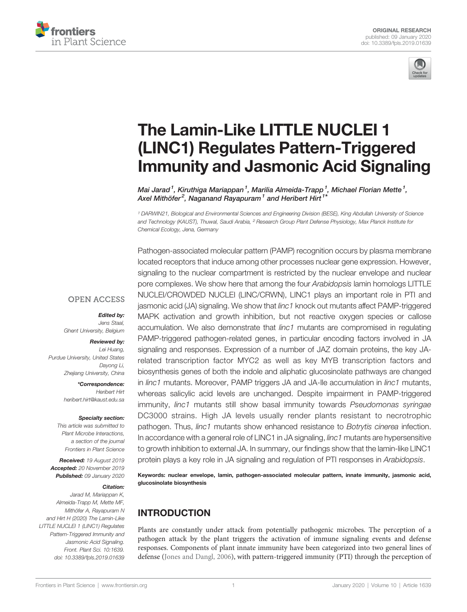



# [The Lamin-Like LITTLE NUCLEI 1](https://www.frontiersin.org/article/10.3389/fpls.2019.01639/full) [\(LINC1\) Regulates Pattern-Triggered](https://www.frontiersin.org/article/10.3389/fpls.2019.01639/full) [Immunity and Jasmonic Acid Signaling](https://www.frontiersin.org/article/10.3389/fpls.2019.01639/full)

[Mai](https://loop.frontiersin.org/people/812668) [Jarad](https://loop.frontiersin.org/people/812668)<sup>1</sup>, [Kiruthiga](https://loop.frontiersin.org/people/869133) [Mariappan](https://loop.frontiersin.org/people/869133)<sup>1</sup>, [Marilia](https://loop.frontiersin.org/people/138533) [Almeida-Trapp](https://loop.frontiersin.org/people/138533)<sup>1</sup>, [Michael Florian](https://loop.frontiersin.org/people/869135) [Mette](https://loop.frontiersin.org/people/869135)<sup>1</sup>, [Axel](https://loop.frontiersin.org/people/132426) [Mithöfer](https://loop.frontiersin.org/people/132426)<sup>2</sup>, [Naganand](https://loop.frontiersin.org/people/268188) [Rayapuram](https://loop.frontiersin.org/people/268188)<sup>1</sup> and [Heribert](https://loop.frontiersin.org/people/13398) [Hirt](https://loop.frontiersin.org/people/13398)<sup>1\*</sup>

<sup>1</sup> DARWIN21, Biological and Environmental Sciences and Engineering Division (BESE), King Abdullah University of Science and Technology (KAUST), Thuwal, Saudi Arabia, <sup>2</sup> Research Group Plant Defense Physiology, Max Planck Institute for Chemical Ecology, Jena, Germany

Pathogen-associated molecular pattern (PAMP) recognition occurs by plasma membrane

**OPEN ACCESS** 

Edited by: Jens Staal, Ghent University, Belgium

#### Reviewed by:

Lei Huang, Purdue University, United States Dayong Li, Zhejiang University, China

> \*Correspondence: Heribert Hirt [heribert.hirt@kaust.edu.sa](mailto:heribert.hirt@kaust.edu.sa)

#### Specialty section:

This article was submitted to Plant Microbe Interactions, a section of the journal Frontiers in Plant Science

Received: 19 August 2019 Accepted: 20 November 2019 Published: 09 January 2020

#### Citation:

Jarad M, Mariappan K, Almeida-Trapp M, Mette MF, Mithöfer A, Rayapuram N and Hirt H (2020) The Lamin-Like LITTLE NUCLEI 1 (LINC1) Regulates Pattern-Triggered Immunity and Jasmonic Acid Signaling. Front. Plant Sci. 10:1639. [doi: 10.3389/fpls.2019.01639](https://doi.org/10.3389/fpls.2019.01639)

located receptors that induce among other processes nuclear gene expression. However, signaling to the nuclear compartment is restricted by the nuclear envelope and nuclear pore complexes. We show here that among the four Arabidopsis lamin homologs LITTLE NUCLEI/CROWDED NUCLEI (LINC/CRWN), LINC1 plays an important role in PTI and jasmonic acid (JA) signaling. We show that linc1 knock out mutants affect PAMP-triggered MAPK activation and growth inhibition, but not reactive oxygen species or callose accumulation. We also demonstrate that *linc1* mutants are compromised in regulating PAMP-triggered pathogen-related genes, in particular encoding factors involved in JA signaling and responses. Expression of a number of JAZ domain proteins, the key JArelated transcription factor MYC2 as well as key MYB transcription factors and biosynthesis genes of both the indole and aliphatic glucosinolate pathways are changed in *linc1* mutants. Moreover, PAMP triggers JA and JA-Ile accumulation in *linc1* mutants, whereas salicylic acid levels are unchanged. Despite impairment in PAMP-triggered immunity, linc1 mutants still show basal immunity towards Pseudomonas syringae DC3000 strains. High JA levels usually render plants resistant to necrotrophic pathogen. Thus, linc1 mutants show enhanced resistance to Botrytis cinerea infection. In accordance with a general role of LINC1 in JA signaling, *linc1* mutants are hypersensitive to growth inhibition to external JA. In summary, our findings show that the lamin-like LINC1 protein plays a key role in JA signaling and regulation of PTI responses in Arabidopsis.

Keywords: nuclear envelope, lamin, pathogen-associated molecular pattern, innate immunity, jasmonic acid, glucosinolate biosynthesis

# INTRODUCTION

Plants are constantly under attack from potentially pathogenic microbes. The perception of a pathogen attack by the plant triggers the activation of immune signaling events and defense responses. Components of plant innate immunity have been categorized into two general lines of defense ([Jones and Dangl, 2006\)](#page-13-0), with pattern-triggered immunity (PTI) through the perception of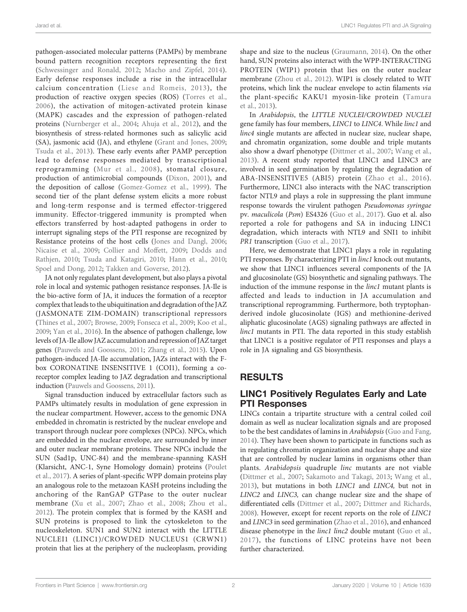pathogen-associated molecular patterns (PAMPs) by membrane bound pattern recognition receptors representing the first ([Schwessinger and Ronald, 2012](#page-13-0); [Macho and Zipfel, 2014\)](#page-13-0). Early defense responses include a rise in the intracellular calcium concentration ([Liese and Romeis, 2013](#page-13-0)), the production of reactive oxygen species (ROS) [\(Torres et al.,](#page-13-0) [2006\)](#page-13-0), the activation of mitogen-activated protein kinase (MAPK) cascades and the expression of pathogen-related proteins [\(Nurnberger et al., 2004;](#page-13-0) [Ahuja et al., 2012](#page-12-0)), and the biosynthesis of stress-related hormones such as salicylic acid (SA), jasmonic acid (JA), and ethylene [\(Grant and Jones, 2009](#page-13-0); [Tsuda et al., 2013](#page-13-0)). These early events after PAMP perception lead to defense responses mediated by transcriptional reprogramming ([Mur et al., 2008](#page-13-0)), stomatal closure, production of antimicrobial compounds [\(Dixon, 2001](#page-12-0)), and the deposition of callose [\(Gomez-Gomez et al., 1999\)](#page-13-0). The second tier of the plant defense system elicits a more robust and long-term response and is termed effector-triggered immunity. Effector-triggered immunity is prompted when effectors transferred by host-adapted pathogens in order to interrupt signaling steps of the PTI response are recognized by Resistance proteins of the host cells [\(Jones and Dangl, 2006](#page-13-0); [Nicaise et al., 2009](#page-13-0); [Collier and Moffett, 2009](#page-12-0); [Dodds and](#page-12-0) [Rathjen, 2010;](#page-12-0) [Tsuda and Katagiri, 2010;](#page-13-0) [Hann et al., 2010](#page-13-0); [Spoel and Dong, 2012](#page-13-0); [Takken and Goverse, 2012](#page-13-0)).

JA not only regulates plant development, but also plays a pivotal role in local and systemic pathogen resistance responses. JA-Ile is the bio-active form of JA, it induces the formation of a receptor complex that leads to the ubiquitination and degradation of the JAZ (JASMONATE ZIM-DOMAIN) transcriptional repressors ([Thines et al., 2007](#page-13-0); [Browse, 2009](#page-12-0); [Fonseca et al., 2009;](#page-12-0) [Koo et al.,](#page-13-0) [2009](#page-13-0); [Yan et al., 2016](#page-13-0)). In the absence of pathogen challenge, low levels of JA-Ile allow JAZ accumulation and repression of JAZ target genes ([Pauwels and Goossens, 2011;](#page-13-0) [Zhang et al., 2015\)](#page-13-0). Upon pathogen-induced JA-Ile accumulation, JAZs interact with the Fbox CORONATINE INSENSITIVE 1 (COI1), forming a coreceptor complex leading to JAZ degradation and transcriptional induction ([Pauwels and Goossens, 2011](#page-13-0)).

Signal transduction induced by extracellular factors such as PAMPs ultimately results in modulation of gene expression in the nuclear compartment. However, access to the genomic DNA embedded in chromatin is restricted by the nuclear envelope and transport through nuclear pore complexes (NPCs). NPCs, which are embedded in the nuclear envelope, are surrounded by inner and outer nuclear membrane proteins. These NPCs include the SUN (Sad1p, UNC-84) and the membrane-spanning KASH (Klarsicht, ANC-1, Syne Homology domain) proteins ([Poulet](#page-13-0) [et al., 2017](#page-13-0)). A series of plant-specific WPP domain proteins play an analogous role to the metazoan KASH proteins including the anchoring of the RanGAP GTPase to the outer nuclear membrane ([Xu et al., 2007;](#page-13-0) [Zhao et al., 2008](#page-14-0); [Zhou et al.,](#page-14-0) [2012\)](#page-14-0). The protein complex that is formed by the KASH and SUN proteins is proposed to link the cytoskeleton to the nucleoskeleton. SUN1 and SUN2 interact with the LITTLE NUCLEI1 (LINC1)/CROWDED NUCLEUS1 (CRWN1) protein that lies at the periphery of the nucleoplasm, providing

shape and size to the nucleus [\(Graumann, 2014](#page-13-0)). On the other hand, SUN proteins also interact with the WPP-INTERACTING PROTEIN (WIP1) protein that lies on the outer nuclear membrane ([Zhou et al., 2012\)](#page-14-0). WIP1 is closely related to WIT proteins, which link the nuclear envelope to actin filaments via the plant-specific KAKU1 myosin-like protein ([Tamura](#page-13-0) [et al., 2013\)](#page-13-0).

In Arabidopsis, the LITTLE NUCLEI/CROWDED NUCLEI gene family has four members, LINC1 to LINC4. While linc1 and linc4 single mutants are affected in nuclear size, nuclear shape, and chromatin organization, some double and triple mutants also show a dwarf phenotype [\(Dittmer et al., 2007;](#page-12-0) [Wang et al.,](#page-13-0) [2013](#page-13-0)). A recent study reported that LINC1 and LINC3 are involved in seed germination by regulating the degradation of ABA-INSENSITIVE5 (ABI5) protein ([Zhao et al., 2016](#page-14-0)). Furthermore, LINC1 also interacts with the NAC transcription factor NTL9 and plays a role in suppressing the plant immune response towards the virulent pathogen Pseudomonas syringae pv. maculicola (Psm) ES4326 [\(Guo et al., 2017\)](#page-13-0). Guo et al. also reported a role for pathogens and SA in inducing LINC1 degradation, which interacts with NTL9 and SNI1 to inhibit PR1 transcription ([Guo et al., 2017](#page-13-0)).

Here, we demonstrate that LINC1 plays a role in regulating PTI responses. By characterizing PTI in linc1 knock out mutants, we show that LINC1 influences several components of the JA and glucosinolate (GS) biosynthetic and signaling pathways. The induction of the immune response in the *linc1* mutant plants is affected and leads to induction in JA accumulation and transcriptional reprogramming. Furthermore, both tryptophanderived indole glucosinolate (IGS) and methionine-derived aliphatic glucosinolate (AGS) signaling pathways are affected in linc1 mutants in PTI. The data reported in this study establish that LINC1 is a positive regulator of PTI responses and plays a role in JA signaling and GS biosynthesis.

# RESULTS

#### LINC1 Positively Regulates Early and Late PTI Responses

LINCs contain a tripartite structure with a central coiled coil domain as well as nuclear localization signals and are proposed to be the best candidates of lamins in Arabidopsis ([Guo and Fang,](#page-13-0) [2014](#page-13-0)). They have been shown to participate in functions such as in regulating chromatin organization and nuclear shape and size that are controlled by nuclear lamins in organisms other than plants. Arabidopsis quadruple linc mutants are not viable [\(Dittmer et al., 2007](#page-12-0); [Sakamoto and Takagi, 2013;](#page-13-0) [Wang et al.,](#page-13-0) [2013](#page-13-0)), but mutations in both LINC1 and LINC4, but not in LINC2 and LINC3, can change nuclear size and the shape of differentiated cells [\(Dittmer et al., 2007](#page-12-0); [Dittmer and Richards,](#page-12-0) [2008](#page-12-0)). However, except for recent reports on the role of LINC1 and LINC3 in seed germination [\(Zhao et al., 2016](#page-14-0)), and enhanced disease phenotype in the *linc1 linc2* double mutant ([Guo et al.,](#page-13-0) [2017](#page-13-0)), the functions of LINC proteins have not been further characterized.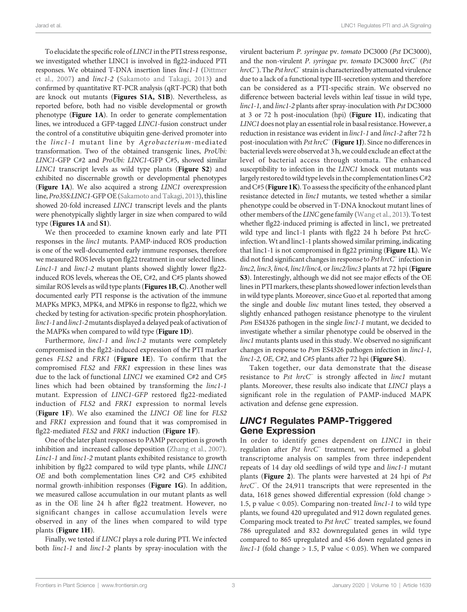To elucidate the specific role of LINC1 in the PTI stress response, we investigated whether LINC1 is involved in flg22-induced PTI responses. We obtained T-DNA insertion lines linc1-1 [\(Dittmer](#page-12-0) [et al., 2007](#page-12-0)) and linc1-2 ([Sakamoto and Takagi, 2013\)](#page-13-0) and confirmed by quantitative RT-PCR analysis (qRT-PCR) that both are knock out mutants ([Figures S1A, S1B](#page-12-0)). Nevertheless, as reported before, both had no visible developmental or growth phenotype ([Figure 1A](#page-3-0)). In order to generate complementation lines, we introduced a GFP-tagged LINC1-fusion construct under the control of a constitutive ubiquitin gene-derived promoter into the linc1-1 mutant line by Agrobacterium-mediated transformation. Two of the obtained transgenic lines, ProUbi: LINC1-GFP C#2 and ProUbi: LINC1-GFP C#5, showed similar LINC1 transcript levels as wild type plants ([Figure S2](#page-12-0)) and exhibited no discernable growth or developmental phenotypes ([Figure 1A](#page-3-0)). We also acquired a strong LINC1 overexpression line, Pro35S:LINC1-GFP OE [\(Sakamoto and Takagi, 2013\)](#page-13-0), this line showed 20-fold increased LINC1 transcript levels and the plants were phenotypically slightly larger in size when compared to wild type ([Figures 1A](#page-3-0) and [S1](#page-12-0)).

We then proceeded to examine known early and late PTI responses in the linc1 mutants. PAMP-induced ROS production is one of the well-documented early immune responses, therefore we measured ROS levels upon flg22 treatment in our selected lines. Linc1-1 and linc1-2 mutant plants showed slightly lower flg22 induced ROS levels, whereas the OE, C#2, and C#5 plants showed similar ROS levels as wild type plants ([Figures 1B](#page-3-0), C). Another well documented early PTI response is the activation of the immune MAPKs MPK3, MPK4, and MPK6 in response to flg22, which we checked by testing for activation-specific protein phosphorylation. linc1-1 and linc1-2 mutants displayed a delayed peak of activation of the MAPKs when compared to wild type ([Figure 1D](#page-3-0)).

Furthermore, *linc1-1* and *linc1-2* mutants were completely compromised in the flg22-induced expression of the PTI marker genes FLS2 and FRK1 ([Figure 1E](#page-3-0)). To confirm that the compromised FLS2 and FRK1 expression in these lines was due to the lack of functional LINC1 we examined C#2 and C#5 lines which had been obtained by transforming the linc1-1 mutant. Expression of LINC1-GFP restored flg22-mediated induction of FLS2 and FRK1 expression to normal levels ([Figure 1F](#page-3-0)). We also examined the LINC1 OE line for FLS2 and FRK1 expression and found that it was compromised in flg22-mediated  $FLS2$  and  $FRK1$  induction (**[Figure 1F](#page-3-0)**).

One of the later plant responses to PAMP perception is growth inhibition and increased callose deposition [\(Zhang et al., 2007\)](#page-13-0). Linc1-1 and linc1-2 mutant plants exhibited resistance to growth inhibition by flg22 compared to wild type plants, while LINC1 OE and both complementation lines C#2 and C#5 exhibited normal growth-inhibition responses ([Figure 1G](#page-3-0)). In addition, we measured callose accumulation in our mutant plants as well as in the OE line 24 h after flg22 treatment. However, no significant changes in callose accumulation levels were observed in any of the lines when compared to wild type plants ([Figure 1H](#page-3-0)).

Finally, we tested if LINC1 plays a role during PTI. We infected both linc1-1 and linc1-2 plants by spray-inoculation with the

virulent bacterium P. syringae pv. tomato DC3000 (Pst DC3000), and the non-virulent P. syringae pv. tomato DC3000 hrcC<sup>−</sup> (Pst hrcC<sup>−</sup> ). The Pst hrcC<sup>−</sup> strain is characterized by attenuated virulence due to a lack of a functional type III-secretion system and therefore can be considered as a PTI-specific strain. We observed no difference between bacterial levels within leaf tissue in wild type, linc1-1, and linc1-2 plants after spray-inoculation with Pst DC3000 at 3 or 72 h post-inoculation (hpi) ([Figure 1I](#page-3-0)), indicating that LINC1 does not play an essential role in basal resistance. However, a reduction in resistance was evident in linc1-1 and linc1-2 after 72 h post-inoculation with Pst hrcC<sup>−</sup> ([Figure 1J](#page-3-0)). Since no differences in bacterial levels were observed at 3 h, we could exclude an effect at the level of bacterial access through stomata. The enhanced susceptibility to infection in the LINC1 knock out mutants was largely restored towild type levels in the complementation lines C#2 and  $C#5$  ([Figure 1K](#page-3-0)). To assess the specificity of the enhanced plant resistance detected in linc1 mutants, we tested whether a similar phenotype could be observed in T-DNA knockout mutant lines of other members of the LINC gene family [\(Wang et al., 2013\)](#page-13-0). To test whether flg22-induced priming is affected in linc1, we pretreated wild type and linc1-1 plants with flg22 24 h before Pst hrcCinfection.Wt and linc1-1 plants showed similar priming, indicating that linc1-1 is not compromised in flg22 priming ([Figure 1L](#page-3-0)). We did not find significant changes in response to Pst hrcC<sup>−</sup> infection in linc2, linc3, linc4, linc1/linc4, or linc2/linc3 plants at 72 hpi ([Figure](#page-12-0) [S3](#page-12-0)). Interestingly, although we did not see major effects of the OE lines in PTI markers, these plants showed lower infection levels than in wild type plants. Moreover, since Guo et al. reported that among the single and double linc mutant lines tested, they observed a slightly enhanced pathogen resistance phenotype to the virulent Psm ES4326 pathogen in the single linc1-1 mutant, we decided to investigate whether a similar phenotype could be observed in the linc1 mutants plants used in this study. We observed no significant changes in response to Psm ES4326 pathogen infection in linc1-1, linc1-2, OE, C#2, and C#5 plants after 72 hpi ([Figure S4](#page-12-0)).

Taken together, our data demonstrate that the disease resistance to Pst hrcC<sup>−</sup> is strongly affected in linc1 mutant plants. Moreover, these results also indicate that LINC1 plays a significant role in the regulation of PAMP-induced MAPK activation and defense gene expression.

#### LINC1 Regulates PAMP-Triggered Gene Expression

In order to identify genes dependent on LINC1 in their regulation after Pst hrcC<sup>−</sup> treatment, we performed a global transcriptome analysis on samples from three independent repeats of 14 day old seedlings of wild type and linc1-1 mutant plants ([Figure 2](#page-4-0)). The plants were harvested at 24 hpi of Pst hrcC<sup>−</sup> . Of the 24,911 transcripts that were represented in the data, 1618 genes showed differential expression (fold change > 1.5, p value < 0.05). Comparing non-treated linc1-1 to wild type plants, we found 420 upregulated and 912 down regulated genes. Comparing mock treated to Pst hrcC<sup>−</sup> treated samples, we found 786 upregulated and 832 downregulated genes in wild type compared to 865 upregulated and 456 down regulated genes in *linc1-1* (fold change  $> 1.5$ , P value  $< 0.05$ ). When we compared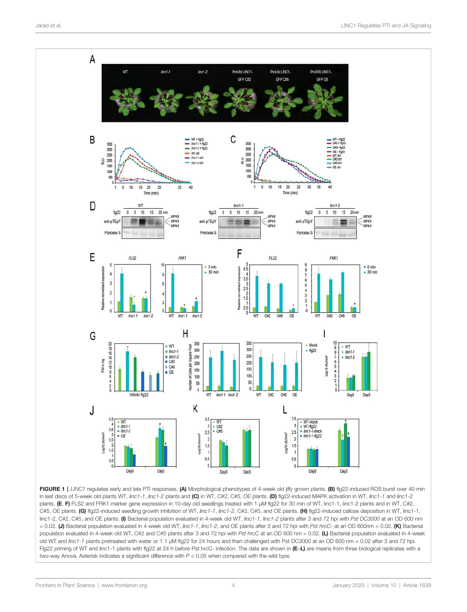<span id="page-3-0"></span>

FIGURE 1 | LINC1 regulates early and late PTI responses. (A) Morphological phenotypes of 4-week old jiffy grown plants. (B) flg22-induced ROS burst over 40 min in leaf discs of 5-week old plants WT, linc1-1, linc1-2 plants and (C) in WT, C#2, C#5, OE plants. (D) flg22-induced MAPK activation in WT, linc1-1 and linc1-2 plants. (E, F) FLS2 and FRK1 marker gene expression in 10-day old seedlings treated with 1 µM flg22 for 30 min of WT, linc1-1, linc1-2 plants and in WT, C#2, C#5, OE plants. (G) flg22-induced seedling growth inhibition of WT, linc1-1, linc1-2, C#2, C#5, and OE plants. (H) flg22-induced callose deposition in WT, linc1-1, linc1-2, C#2, C#5, and OE plants. (I) Bacterial population evaluated in 4-week old WT, linc1-1, linc1-2 plants after 3 and 72 hpi with Pst DC3000 at an OD 600 nm  $= 0.02$ . (J) Bacterial population evaluated in 4-week old WT, linc1-1, linc1-2, and OE plants after 3 and 72 hpi with Pst hrcC- at an OD 600nm = 0.02. (K) Bacterial population evaluated in 4-week old WT, C#2 and C#5 plants after 3 and 72 hpi with Pst hrcC at an OD 600 nm = 0.02. (L) Bacterial population evaluated in 4-week old WT and linc1-1 plants pretreated with water or 1 1 µM flg22 for 24 hours and then challenged with Pst DC3000 at an OD 600 nm = 0.02 after 3 and 72 hpi. Flg22 priming of WT and linc1-1 plants with flg22 at 24 h before Pst hrcC- infection. The data are shown in (E–L) are means from three biological replicates with a two-way Anova. Asterisk indicates a significant difference with  $P < 0.05$  when compared with the wild type.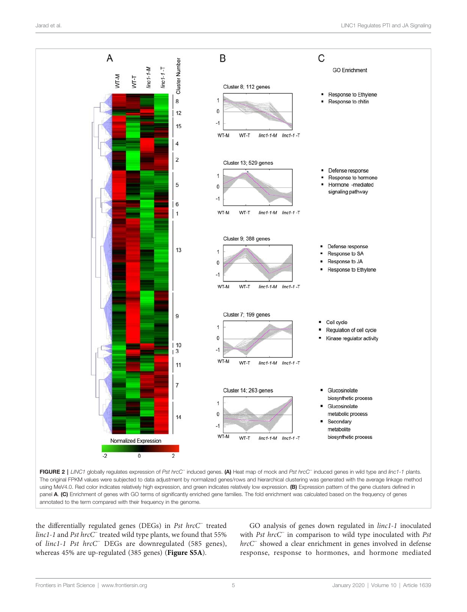<span id="page-4-0"></span>

using MeV4.0. Red color indicates relatively high expression, and green indicates relatively low expression. (B) Expression pattern of the gene clusters defined in panel A. (C) Enrichment of genes with GO terms of significantly enriched gene families. The fold enrichment was calculated based on the frequency of genes annotated to the term compared with their frequency in the genome.

the differentially regulated genes (DEGs) in Pst hrcC<sup>−</sup> treated linc1-1 and Pst hrcC<sup>−</sup> treated wild type plants, we found that 55% of linc1-1 Pst hrcC<sup>−</sup> DEGs are downregulated (585 genes), whereas 45% are up-regulated (385 genes) ([Figure S5A](#page-12-0)).

GO analysis of genes down regulated in linc1-1 inoculated with Pst hrcC<sup>−</sup> in comparison to wild type inoculated with Pst hrcC<sup>−</sup> showed a clear enrichment in genes involved in defense response, response to hormones, and hormone mediated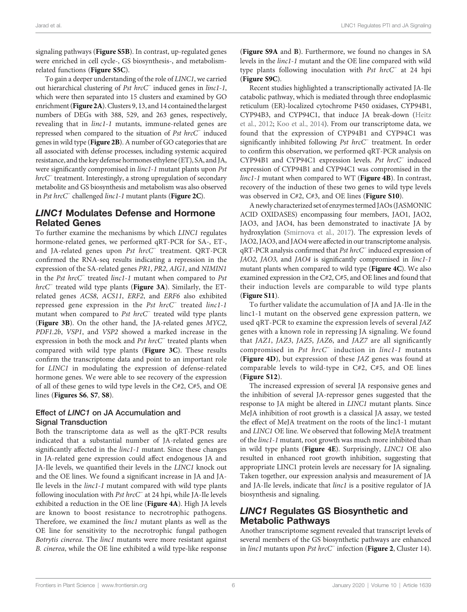signaling pathways ([Figure S5B](#page-12-0)). In contrast, up-regulated genes were enriched in cell cycle-, GS biosynthesis-, and metabolismrelated functions ([Figure S5C](#page-12-0)).

To gain a deeper understanding of the role of LINC1, we carried out hierarchical clustering of Pst hrcC<sup>−</sup> induced genes in linc1-1, which were then separated into 15 clusters and examined by GO enrichment ([Figure 2A](#page-4-0)). Clusters 9, 13, and 14 contained the largest numbers of DEGs with 388, 529, and 263 genes, respectively, revealing that in linc1-1 mutants, immune-related genes are repressed when compared to the situation of Pst hrcC<sup>−</sup> induced genes in wild type ([Figure 2B](#page-4-0)). A number of GO categories that are all associated with defense processes, including systemic acquired resistance, and the key defense hormones ethylene (ET), SA, and JA, were significantly compromised in linc1-1 mutant plants upon Pst hrcC<sup>−</sup> treatment. Interestingly, a strong upregulation of secondary metabolite and GS biosynthesis and metabolism was also observed in Pst hrcC<sup>−</sup> challenged linc1-1 mutant plants ([Figure 2C](#page-4-0)).

#### LINC1 Modulates Defense and Hormone Related Genes

To further examine the mechanisms by which LINC1 regulates hormone-related genes, we performed qRT-PCR for SA-, ET-, and JA-related genes upon Pst hrcC<sup>−</sup> treatment. QRT-PCR confirmed the RNA-seq results indicating a repression in the expression of the SA-related genes PR1, PR2, AIG1, and NIMIN1 in the Pst hrcC<sup>−</sup> treated linc1-1 mutant when compared to Pst hrcC<sup>−</sup> treated wild type plants ([Figure 3A](#page-6-0)). Similarly, the ETrelated genes ACS8, ACS11, ERF2, and ERF6 also exhibited repressed gene expression in the Pst hrcC<sup>−</sup> treated linc1-1 mutant when compared to Pst hrcC<sup>−</sup> treated wild type plants ([Figure 3B](#page-6-0)). On the other hand, the JA-related genes MYC2, PDF1.2b, VSP1, and VSP2 showed a marked increase in the expression in both the mock and Pst hrcC<sup>−</sup> treated plants when compared with wild type plants (Figure  $3C$ ). These results confirm the transcriptome data and point to an important role for LINC1 in modulating the expression of defense-related hormone genes. We were able to see recovery of the expression of all of these genes to wild type levels in the C#2, C#5, and OE lines ([Figures S6](#page-12-0), [S7](#page-12-0), [S8](#page-12-0)).

#### Effect of LINC1 on JA Accumulation and **Signal Transduction**

Both the transcriptome data as well as the qRT-PCR results indicated that a substantial number of JA-related genes are significantly affected in the *linc1-1* mutant. Since these changes in JA-related gene expression could affect endogenous JA and JA-Ile levels, we quantified their levels in the LINC1 knock out and the OE lines. We found a significant increase in JA and JA-Ile levels in the linc1-1 mutant compared with wild type plants following inoculation with Pst hrcC<sup>−</sup> at 24 hpi, while JA-Ile levels exhibited a reduction in the OE line ([Figure 4A](#page-7-0)). High JA levels are known to boost resistance to necrotrophic pathogens. Therefore, we examined the *linc1* mutant plants as well as the OE line for sensitivity to the necrotrophic fungal pathogen Botrytis cinerea. The linc1 mutants were more resistant against B. cinerea, while the OE line exhibited a wild type-like response

([Figure S9A](#page-12-0) and B). Furthermore, we found no changes in SA levels in the linc1-1 mutant and the OE line compared with wild type plants following inoculation with Pst hrcC<sup>−</sup> at 24 hpi ([Figure S9C](#page-12-0)).

Recent studies highlighted a transcriptionally activated JA-Ile catabolic pathway, which is mediated through three endoplasmic reticulum (ER)-localized cytochrome P450 oxidases, CYP94B1, CYP94B3, and CYP94C1, that induce JA break-down [\(Heitz](#page-13-0) [et al., 2012;](#page-13-0) [Koo et al., 2014\)](#page-13-0). From our transcriptome data, we found that the expression of CYP94B1 and CYP94C1 was significantly inhibited following Pst hrcC<sup>−</sup> treatment. In order to confirm this observation, we performed qRT-PCR analysis on CYP94B1 and CYP94C1 expression levels. Pst hrcC<sup>−</sup> induced expression of CYP94B1 and CYP94C1 was compromised in the linc1-1 mutant when compared to WT ([Figure 4B](#page-7-0)). In contrast, recovery of the induction of these two genes to wild type levels was observed in C#2, C#3, and OE lines ([Figure S10](#page-12-0)).

A newly characterized set of enzymes termed JAOs (JASMONIC ACID OXIDASES) encompassing four members, JAO1, JAO2, JAO3, and JAO4, has been demonstrated to inactivate JA by hydroxylation [\(Smirnova et al., 2017\)](#page-13-0). The expression levels of JAO2, JAO3, and JAO4 were affected in our transcriptome analysis. qRT-PCR analysis confirmed that Pst hrcC<sup>−</sup> induced expression of JAO2, JAO3, and JAO4 is significantly compromised in linc1-1 mutant plants when compared to wild type ([Figure 4C](#page-7-0)). We also examined expression in the C#2, C#5, and OE lines and found that their induction levels are comparable to wild type plants ([Figure S11](#page-12-0)).

To further validate the accumulation of JA and JA-Ile in the linc1-1 mutant on the observed gene expression pattern, we used qRT-PCR to examine the expression levels of several JAZ genes with a known role in repressing JA signaling. We found that JAZ1, JAZ3, JAZ5, JAZ6, and JAZ7 are all significantly compromised in Pst hrcC<sup>−</sup> induction in linc1-1 mutants ([Figure 4D](#page-7-0)), but expression of these JAZ genes was found at comparable levels to wild-type in C#2, C#5, and OE lines ([Figure S12](#page-12-0)).

The increased expression of several JA responsive genes and the inhibition of several JA-repressor genes suggested that the response to JA might be altered in LINC1 mutant plants. Since MeJA inhibition of root growth is a classical JA assay, we tested the effect of MeJA treatment on the roots of the linc1-1 mutant and LINC1 OE line. We observed that following MeJA treatment of the linc1-1 mutant, root growth was much more inhibited than in wild type plants ([Figure 4E](#page-7-0)). Surprisingly, LINC1 OE also resulted in enhanced root growth inhibition, suggesting that appropriate LINC1 protein levels are necessary for JA signaling. Taken together, our expression analysis and measurement of JA and JA-Ile levels, indicate that *linc1* is a positive regulator of JA biosynthesis and signaling.

# LINC1 Regulates GS Biosynthetic and Metabolic Pathways

Another transcriptome segment revealed that transcript levels of several members of the GS biosynthetic pathways are enhanced in linc1 mutants upon Pst hrcC<sup>−</sup> infection ([Figure 2](#page-4-0), Cluster 14).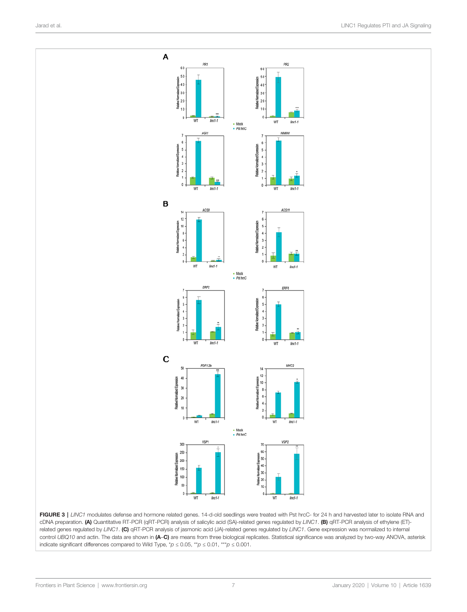<span id="page-6-0"></span>

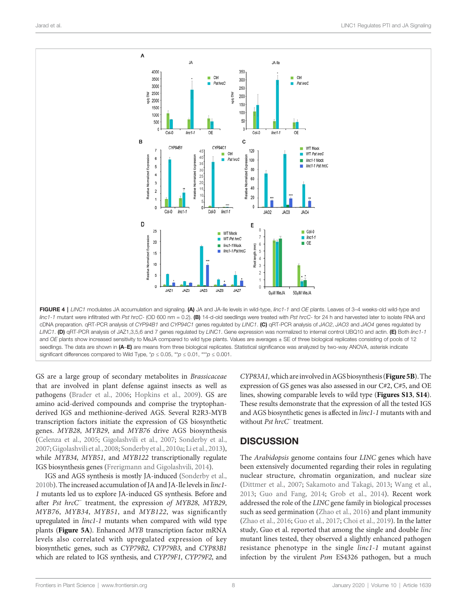<span id="page-7-0"></span>

FIGURE 4 | LINC1 modulates JA accumulation and signaling. (A) JA and JA-Ile levels in wild-type, linc1-1 and OE plants. Leaves of 3-4 weeks-old wild-type and  $line 1-1$  mutant were infiltrated with Pst hrcC- (OD 600 nm = 0.2). (B) 14-d-old seedlings were treated with Pst hrcC- for 24 h and harvested later to isolate RNA and cDNA preparation. qRT-PCR analysis of CYP94B1 and CYP94C1 genes regulated by LINC1. (C) qRT-PCR analysis of JAO2, JAO3 and JAO4 genes regulated by LINC1. (D) qRT-PCR analysis of JAZ1,3,5,6 and 7 genes regulated by LINC1. Gene expression was normalized to internal control UBQ10 and actin. (E) Both linc1-1 and OE plants show increased sensitivity to MeJA compared to wild type plants. Values are averages ± SE of three biological replicates consisting of pools of 12 seedlings. The data are shown in (A-E) are means from three biological replicates. Statistical significance was analyzed by two-way ANOVA, asterisk indicate significant differences compared to Wild Type,  $p \leq 0.05$ ,  $\alpha p \leq 0.01$ ,  $\alpha p \leq 0.001$ .

GS are a large group of secondary metabolites in Brassicaceae that are involved in plant defense against insects as well as pathogens ([Brader et al., 2006](#page-12-0); [Hopkins et al., 2009\)](#page-13-0). GS are amino acid-derived compounds and comprise the tryptophanderived IGS and methionine-derived AGS. Several R2R3-MYB transcription factors initiate the expression of GS biosynthetic genes. MYB28, MYB29, and MYB76 drive AGS biosynthesis ([Celenza et al., 2005](#page-12-0); [Gigolashvili et al., 2007;](#page-12-0) [Sonderby et al.,](#page-13-0) [2007](#page-13-0);[Gigolashvili et al., 2008;](#page-13-0) [Sonderby et al., 2010a;](#page-13-0) [Li et al., 2013\)](#page-13-0), while MYB34, MYB51, and MYB122 transcriptionally regulate IGS biosynthesis genes [\(Frerigmann and Gigolashvili, 2014\)](#page-12-0).

IGS and AGS synthesis is mostly JA-induced ([Sonderby et al.,](#page-13-0) [2010b\)](#page-13-0). The increased accumulation of JA and JA-Ile levels in linc1- 1 mutants led us to explore JA-induced GS synthesis. Before and after Pst hrcC<sup>−</sup> treatment, the expression of MYB28, MYB29, MYB76, MYB34, MYB51, and MYB122, was significantly upregulated in linc1-1 mutants when compared with wild type plants ([Figure 5A](#page-8-0)). Enhanced MYB transcription factor mRNA levels also correlated with upregulated expression of key biosynthetic genes, such as CYP79B2, CYP79B3, and CYP83B1 which are related to IGS synthesis, and CYP79F1, CYP79F2, and

CYP83A1, which are involved in AGS biosynthesis ([Figure 5B](#page-8-0)). The expression of GS genes was also assessed in our C#2, C#5, and OE lines, showing comparable levels to wild type ([Figures S13](#page-12-0), [S14](#page-12-0)). These results demonstrate that the expression of all the tested IGS and AGS biosynthetic genes is affected in linc1-1 mutants with and without Pst hrcC<sup>−</sup> treatment.

#### **DISCUSSION**

The Arabidopsis genome contains four LINC genes which have been extensively documented regarding their roles in regulating nuclear structure, chromatin organization, and nuclear size [\(Dittmer et al., 2007](#page-12-0); [Sakamoto and Takagi, 2013;](#page-13-0) [Wang et al.,](#page-13-0) [2013](#page-13-0); [Guo and Fang, 2014](#page-13-0); [Grob et al., 2014](#page-13-0)). Recent work addressed the role of the LINC gene family in biological processes such as seed germination [\(Zhao et al., 2016](#page-14-0)) and plant immunity [\(Zhao et al., 2016](#page-14-0); [Guo et al., 2017;](#page-13-0) [Choi et al., 2019](#page-12-0)). In the latter study, Guo et al. reported that among the single and double linc mutant lines tested, they observed a slightly enhanced pathogen resistance phenotype in the single linc1-1 mutant against infection by the virulent Psm ES4326 pathogen, but a much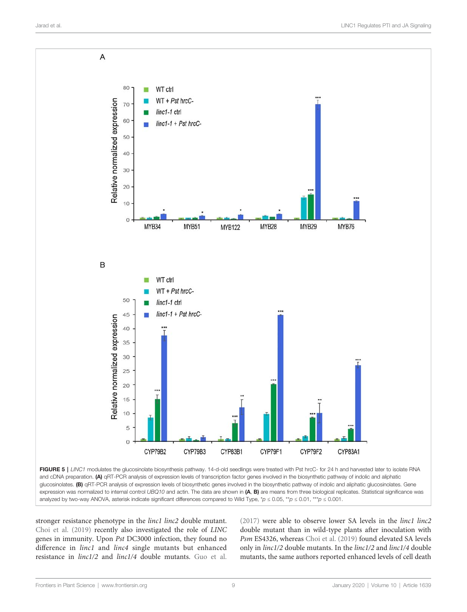<span id="page-8-0"></span>

FIGURE 5 | LINC1 modulates the glucosinolate biosynthesis pathway. 14-d-old seedlings were treated with Pst hrcC- for 24 h and harvested later to isolate RNA and cDNA preparation. (A) qRT-PCR analysis of expression levels of transcription factor genes involved in the biosynthetic pathway of indolic and aliphatic glucosinolates. (B) qRT-PCR analysis of expression levels of biosynthetic genes involved in the biosynthetic pathway of indolic and aliphatic glucosinolates. Gene expression was normalized to internal control UBQ10 and actin. The data are shown in  $(A, B)$  are means from three biological replicates. Statistical significance was analyzed by two-way ANOVA, asterisk indicate significant differences compared to Wild Type, \*p  $\leq 0.05$ , \*\*p  $\leq 0.01$ , \*\*\*p  $\leq 0.001$ .

stronger resistance phenotype in the linc1 linc2 double mutant. [Choi et al. \(2019\)](#page-12-0) recently also investigated the role of LINC genes in immunity. Upon Pst DC3000 infection, they found no difference in *linc1* and *linc4* single mutants but enhanced resistance in linc1/2 and linc1/4 double mutants. [Guo et al.](#page-13-0) [\(2017\)](#page-13-0) were able to observe lower SA levels in the linc1 linc2 double mutant than in wild-type plants after inoculation with Psm ES4326, whereas [Choi et al. \(2019\)](#page-12-0) found elevated SA levels only in linc1/2 double mutants. In the linc1/2 and linc1/4 double mutants, the same authors reported enhanced levels of cell death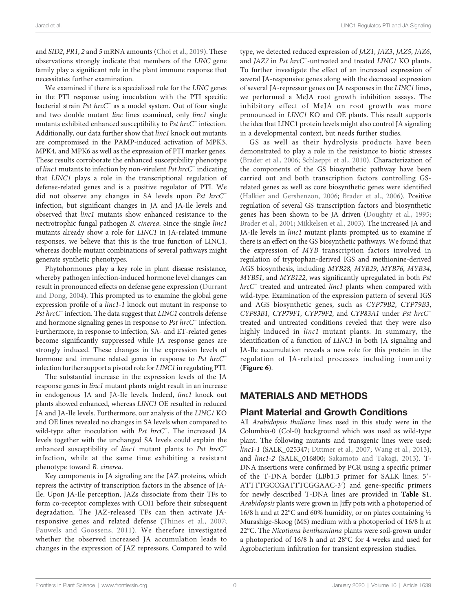and SID2, PR1, 2 and 5 mRNA amounts ([Choi et al., 2019\)](#page-12-0). These observations strongly indicate that members of the LINC gene family play a significant role in the plant immune response that necessitates further examination.

We examined if there is a specialized role for the LINC genes in the PTI response using inoculation with the PTI specific bacterial strain Pst hrcC<sup>−</sup> as a model system. Out of four single and two double mutant *linc* lines examined, only *linc1* single mutants exhibited enhanced susceptibility to Pst hrcC<sup>−</sup> infection. Additionally, our data further show that linc1 knock out mutants are compromised in the PAMP-induced activation of MPK3, MPK4, and MPK6 as well as the expression of PTI marker genes. These results corroborate the enhanced susceptibility phenotype of linc1 mutants to infection by non-virulent Pst hrcC<sup>−</sup> indicating that LINC1 plays a role in the transcriptional regulation of defense-related genes and is a positive regulator of PTI. We did not observe any changes in SA levels upon Pst hrcC<sup>−</sup> infection, but significant changes in JA and JA-Ile levels and observed that linc1 mutants show enhanced resistance to the nectrotrophic fungal pathogen B. cinerea. Since the single linc1 mutants already show a role for LINC1 in JA-related immune responses, we believe that this is the true function of LINC1, whereas double mutant combinations of several pathways might generate synthetic phenotypes.

Phytohormones play a key role in plant disease resistance, whereby pathogen infection-induced hormone level changes can result in pronounced effects on defense gene expression [\(Durrant](#page-12-0) [and Dong, 2004\)](#page-12-0). This prompted us to examine the global gene expression profile of a linc1-1 knock out mutant in response to Pst hrcC<sup>−</sup> infection. The data suggest that LINC1 controls defense and hormone signaling genes in response to Pst hrcC<sup>−</sup> infection. Furthermore, in response to infection, SA- and ET-related genes become significantly suppressed while JA response genes are strongly induced. These changes in the expression levels of hormone and immune related genes in response to Pst hrcC<sup>−</sup> infection further support a pivotal role for LINC1 in regulating PTI.

The substantial increase in the expression levels of the JA response genes in *linc1* mutant plants might result in an increase in endogenous JA and JA-Ile levels. Indeed, *linc1* knock out plants showed enhanced, whereas LINC1 OE resulted in reduced JA and JA-Ile levels. Furthermore, our analysis of the LINC1 KO and OE lines revealed no changes in SA levels when compared to wild-type after inoculation with Pst hrcC<sup>−</sup>. The increased JA levels together with the unchanged SA levels could explain the enhanced susceptibility of *linc1* mutant plants to Pst hrcC<sup>−</sup> infection, while at the same time exhibiting a resistant phenotype toward B. cinerea.

Key components in JA signaling are the JAZ proteins, which repress the activity of transcription factors in the absence of JA-Ile. Upon JA-Ile perception, JAZs dissociate from their TFs to form co-receptor complexes with COI1 before their subsequent degradation. The JAZ-released TFs can then activate JAresponsive genes and related defense ([Thines et al., 2007](#page-13-0); [Pauwels and Goossens, 2011\)](#page-13-0). We therefore investigated whether the observed increased JA accumulation leads to changes in the expression of JAZ repressors. Compared to wild type, we detected reduced expression of JAZ1, JAZ3, JAZ5, JAZ6, and JAZ7 in Pst hrcC<sup>−</sup> -untreated and treated LINC1 KO plants. To further investigate the effect of an increased expression of several JA-responsive genes along with the decreased expression of several JA-repressor genes on JA responses in the LINC1 lines, we performed a MeJA root growth inhibition assays. The inhibitory effect of MeJA on root growth was more pronounced in LINC1 KO and OE plants. This result supports the idea that LINC1 protein levels might also control JA signaling in a developmental context, but needs further studies.

GS as well as their hydrolysis products have been demonstrated to play a role in the resistance to biotic stresses [\(Brader et al., 2006](#page-12-0); [Schlaeppi et al., 2010](#page-13-0)). Characterization of the components of the GS biosynthetic pathway have been carried out and both transcription factors controlling GSrelated genes as well as core biosynthetic genes were identified [\(Halkier and Gershenzon, 2006](#page-13-0); [Brader et al., 2006\)](#page-12-0). Positive regulation of several GS transcription factors and biosynthetic genes has been shown to be JA driven [\(Doughty et al., 1995;](#page-12-0) [Brader et al., 2001;](#page-12-0) [Mikkelsen et al., 2003\)](#page-13-0). The increased JA and JA-Ile levels in linc1 mutant plants prompted us to examine if there is an effect on the GS biosynthetic pathways. We found that the expression of MYB transcription factors involved in regulation of tryptophan-derived IGS and methionine-derived AGS biosynthesis, including MYB28, MYB29, MYB76, MYB34, MYB51, and MYB122, was significantly upregulated in both Pst hrcC<sup>−</sup> treated and untreated linc1 plants when compared with wild-type. Examination of the expression pattern of several IGS and AGS biosynthetic genes, such as CYP79B2, CYP79B3, CYP83B1, CYP79F1, CYP79F2, and CYP83A1 under Pst hrcC treated and untreated conditions reveled that they were also highly induced in *linc1* mutant plants. In summary, the identification of a function of LINC1 in both JA signaling and JA-Ile accumulation reveals a new role for this protein in the regulation of JA-related processes including immunity (Figure 6).

#### MATERIALS AND METHODS

#### Plant Material and Growth Conditions

All Arabidopsis thaliana lines used in this study were in the Columbia-0 (Col-0) background which was used as wild-type plant. The following mutants and transgenic lines were used: linc1-1 (SALK\_025347; [Dittmer et al., 2007](#page-12-0); [Wang et al., 2013\)](#page-13-0), and linc1-2 (SALK\_016800; [Sakamoto and Takagi, 2013\)](#page-13-0). T-DNA insertions were confirmed by PCR using a specific primer of the T-DNA border (LBb1.3 primer for SALK lines: 5′- ATTTTGCCGATTTCGGAAC-3′) and gene-specific primers for newly described T-DNA lines are provided in [Table S1](#page-12-0). Arabidopsis plants were grown in Jiffy pots with a photoperiod of 16/8 h and at 22°C and 60% humidity, or on plates containing ½ Murashige-Skoog (MS) medium with a photoperiod of 16/8 h at 22°C. The Nicotiana benthamiana plants were soil-grown under a photoperiod of 16/8 h and at 28°C for 4 weeks and used for Agrobacterium infiltration for transient expression studies.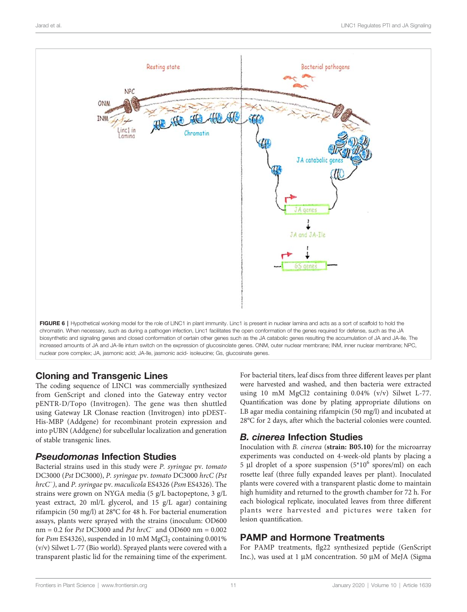

# Cloning and Transgenic Lines

The coding sequence of LINC1 was commercially synthesized from GenScript and cloned into the Gateway entry vector pENTR-D/Topo (Invitrogen). The gene was then shuttled using Gateway LR Clonase reaction (Invitrogen) into pDEST-His-MBP (Addgene) for recombinant protein expression and into pUBN (Addgene) for subcellular localization and generation of stable transgenic lines.

#### Pseudomonas Infection Studies

Bacterial strains used in this study were P. syringae pv. tomato DC3000 (Pst DC3000), P. syringae pv. tomato DC3000 hrcC (Pst hrcC<sup>−</sup> ), and P. syringae pv. maculicola ES4326 (Psm ES4326). The strains were grown on NYGA media (5 g/L bactopeptone, 3 g/L yeast extract, 20 ml/L glycerol, and 15 g/L agar) containing rifampicin (50 mg/l) at 28°C for 48 h. For bacterial enumeration assays, plants were sprayed with the strains (inoculum: OD600 nm = 0.2 for Pst DC3000 and Pst hrcC<sup>−</sup> and OD600 nm = 0.002 for  $Psm$  ES4326), suspended in 10 mM  $MgCl<sub>2</sub>$  containing 0.001% (v/v) Silwet L-77 (Bio world). Sprayed plants were covered with a transparent plastic lid for the remaining time of the experiment.

For bacterial titers, leaf discs from three different leaves per plant were harvested and washed, and then bacteria were extracted using 10 mM MgCl2 containing 0.04% (v/v) Silwet L-77. Quantification was done by plating appropriate dilutions on LB agar media containing rifampicin (50 mg/l) and incubated at 28°C for 2 days, after which the bacterial colonies were counted.

# B. cinerea Infection Studies

Inoculation with B. cinerea (strain: B05.10) for the microarray experiments was conducted on 4-week-old plants by placing a 5 µl droplet of a spore suspension  $(5*10^6$  spores/ml) on each rosette leaf (three fully expanded leaves per plant). Inoculated plants were covered with a transparent plastic dome to maintain high humidity and returned to the growth chamber for 72 h. For each biological replicate, inoculated leaves from three different plants were harvested and pictures were taken for lesion quantification.

# PAMP and Hormone Treatments

For PAMP treatments, flg22 synthesized peptide (GenScript Inc.), was used at 1  $\mu$ M concentration. 50  $\mu$ M of MeJA (Sigma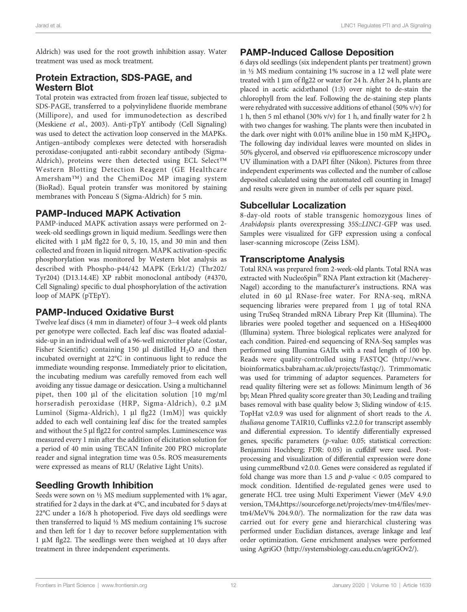Aldrich) was used for the root growth inhibition assay. Water treatment was used as mock treatment.

#### Protein Extraction, SDS-PAGE, and Western Blot

Total protein was extracted from frozen leaf tissue, subjected to SDS-PAGE, transferred to a polyvinylidene fluoride membrane (Millipore), and used for immunodetection as described (Meskiene et al., 2003). Anti-pTpY antibody (Cell Signaling) was used to detect the activation loop conserved in the MAPKs. Antigen–antibody complexes were detected with horseradish peroxidase-conjugated anti-rabbit secondary antibody (Sigma-Aldrich), proteins were then detected using ECL Select™ Western Blotting Detection Reagent (GE Healthcare Amersham™) and the ChemiDoc MP imaging system (BioRad). Equal protein transfer was monitored by staining membranes with Ponceau S (Sigma-Aldrich) for 5 min.

#### PAMP-Induced MAPK Activation

PAMP-induced MAPK activation assays were performed on 2 week-old seedlings grown in liquid medium. Seedlings were then elicited with  $1 \mu M$  flg22 for 0, 5, 10, 15, and 30 min and then collected and frozen in liquid nitrogen. MAPK activation-specific phosphorylation was monitored by Western blot analysis as described with Phospho-p44/42 MAPK (Erk1/2) (Thr202/ Tyr204) (D13.14.4E) XP rabbit monoclonal antibody (#4370, Cell Signaling) specific to dual phosphorylation of the activation loop of MAPK (pTEpY).

# PAMP-Induced Oxidative Burst

Twelve leaf discs (4 mm in diameter) of four 3–4 week old plants per genotype were collected. Each leaf disc was floated adaxialside-up in an individual well of a 96-well microtiter plate (Costar, Fisher Scientific) containing 150  $\mu$ l distilled H<sub>2</sub>O and then incubated overnight at 22°C in continuous light to reduce the immediate wounding response. Immediately prior to elicitation, the incubating medium was carefully removed from each well avoiding any tissue damage or desiccation. Using a multichannel pipet, then 100  $\mu$ l of the elicitation solution [10 mg/ml horseradish peroxidase (HRP, Sigma-Aldrich), 0.2 µM Luminol (Sigma-Aldrich), 1 µl flg22 (1mM)] was quickly added to each well containing leaf disc for the treated samples and without the 5 µl flg22 for control samples. Luminescence was measured every 1 min after the addition of elicitation solution for a period of 40 min using TECAN Infinite 200 PRO microplate reader and signal integration time was 0.5s. ROS measurements were expressed as means of RLU (Relative Light Units).

# Seedling Growth Inhibition

Seeds were sown on ½ MS medium supplemented with 1% agar, stratified for 2 days in the dark at 4°C, and incubated for 5 days at 22°C under a 16/8 h photoperiod. Five days old seedlings were then transferred to liquid ½ MS medium containing 1% sucrose and then left for 1 day to recover before supplementation with  $1 \mu M$  flg22. The seedlings were then weighed at 10 days after treatment in three independent experiments.

# PAMP-Induced Callose Deposition

6 days old seedlings (six independent plants per treatment) grown in ½ MS medium containing 1% sucrose in a 12 well plate were treated with 1  $\mu$ m of flg22 or water for 24 h. After 24 h, plants are placed in acetic acid:ethanol (1:3) over night to de-stain the chlorophyll from the leaf. Following the de-staining step plants were rehydrated with successive additions of ethanol (50% v/v) for 1 h, then 5 ml ethanol (30% v/v) for 1 h, and finally water for 2 h with two changes for washing. The plants were then incubated in the dark over night with 0.01% aniline blue in 150 mM  $K_2HPO_4$ . The following day individual leaves were mounted on slides in 50% glycerol, and observed via epifluorescence microscopy under UV illumination with a DAPI filter (Nikon). Pictures from three independent experiments was collected and the number of callose deposited calculated using the automated cell counting in ImageJ and results were given in number of cells per square pixel.

#### Subcellular Localization

8-day-old roots of stable transgenic homozygous lines of Arabidopsis plants overexpressing 35S::LINC1-GFP was used. Samples were visualized for GFP expression using a confocal laser-scanning microscope (Zeiss LSM).

#### Transcriptome Analysis

Total RNA was prepared from 2-week-old plants. Total RNA was extracted with NucleoSpin® RNA Plant extraction kit (Macherey-Nagel) according to the manufacturer's instructions. RNA was eluted in 60 µl RNase-free water. For RNA-seq, mRNA sequencing libraries were prepared from 1 µg of total RNA using TruSeq Stranded mRNA Library Prep Kit (Illumina). The libraries were pooled together and sequenced on a HiSeq4000 (Illumina) system. Three biological replicates were analyzed for each condition. Paired-end sequencing of RNA-Seq samples was performed using Illumina GAIIx with a read length of 100 bp. Reads were quality-controlled using FASTQC [\(http://www.](http://www.bioinformatics.babraham.ac.uk/projects/fastqc/) [bioinformatics.babraham.ac.uk/projects/fastqc/](http://www.bioinformatics.babraham.ac.uk/projects/fastqc/)). Trimmomatic was used for trimming of adaptor sequences. Parameters for read quality filtering were set as follows: Minimum length of 36 bp; Mean Phred quality score greater than 30; Leading and trailing bases removal with base quality below 3; Sliding window of 4:15. TopHat v2.0.9 was used for alignment of short reads to the A. thaliana genome TAIR10, Cufflinks v2.2.0 for transcript assembly and differential expression. To identify differentially expressed genes, specific parameters (p-value: 0.05; statistical correction: Benjamini Hochberg; FDR: 0.05) in cuffdiff were used. Postprocessing and visualization of differential expression were done using cummeRbund v2.0.0. Genes were considered as regulated if fold change was more than 1.5 and  $p$ -value  $< 0.05$  compared to mock condition. Identified de-regulated genes were used to generate HCL tree using Multi Experiment Viewer (MeV 4.9.0 version, TM4,[https://sourceforge.net/projects/mev-tm4/](https://sourceforge.net/projects/mev-tm4/files/mev-tm4/MeV% 204.9.0/)files/mev[tm4/MeV% 204.9.0/](https://sourceforge.net/projects/mev-tm4/files/mev-tm4/MeV% 204.9.0/)). The normalization for the raw data was carried out for every gene and hierarchical clustering was performed under Euclidian distances, average linkage and leaf order optimization. Gene enrichment analyses were performed using AgriGO [\(http://systemsbiology.cau.edu.cn/agriGOv2/](http://systemsbiology.cau.edu.cn/agriGOv2/)).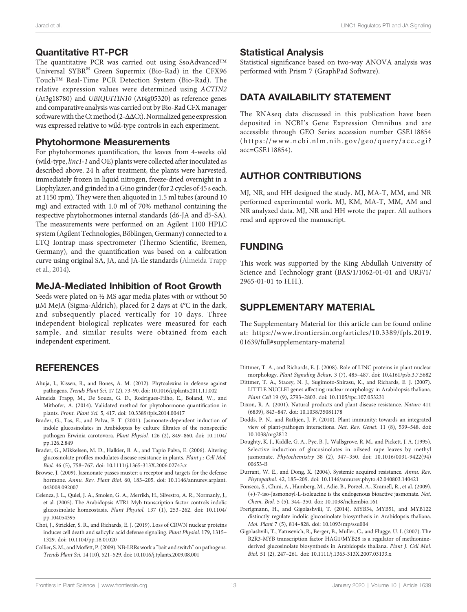#### <span id="page-12-0"></span>Quantitative RT-PCR

The quantitative PCR was carried out using SsoAdvanced™ Universal SYBR® Green Supermix (Bio-Rad) in the CFX96 Touch™ Real-Time PCR Detection System (Bio-Rad). The relative expression values were determined using ACTIN2 (At3g18780) and UBIQUITIN10 (At4g05320) as reference genes and comparative analysis was carried out by Bio-Rad CFX manager software with the Ct method (2- $\Delta\Delta$ Ct). Normalized gene expression was expressed relative to wild-type controls in each experiment.

#### Phytohormone Measurements

For phytohormones quantification, the leaves from 4-weeks old (wild-type, linc1-1 and OE) plants were collected after inoculated as described above. 24 h after treatment, the plants were harvested, immediately frozen in liquid nitrogen, freeze-dried overnight in a Liophylazer, and grinded in a Gino grinder (for 2 cycles of 45 s each, at 1150 rpm). They were then aliquoted in 1.5 ml tubes (around 10 mg) and extracted with 1.0 ml of 70% methanol containing the respective phytohormones internal standards (d6-JA and d5-SA). The measurements were performed on an Agilent 1100 HPLC system (Agilent Technologies, Böblingen, Germany) connected to a LTQ Iontrap mass spectrometer (Thermo Scientific, Bremen, Germany), and the quantification was based on a calibration curve using original SA, JA, and JA-Ile standards (Almeida Trapp et al., 2014).

#### MeJA-Mediated Inhibition of Root Growth

Seeds were plated on ½ MS agar media plates with or without 50 µM MeJA (Sigma-Aldrich), placed for 2 days at 4°C in the dark, and subsequently placed vertically for 10 days. Three independent biological replicates were measured for each sample, and similar results were obtained from each independent experiment.

# **REFERENCES**

- Ahuja, I., Kissen, R., and Bones, A. M. (2012). Phytoalexins in defense against pathogens. Trends Plant Sci. 17 (2), 73–90. doi: [10.1016/j.tplants.2011.11.002](https://doi.org/10.1016/j.tplants.2011.11.002)
- Almeida Trapp, M., De Souza, G. D., Rodrigues-Filho, E., Boland, W., and Mithofer, A. (2014). Validated method for phytohormone quantification in plants. Front. Plant Sci. 5, 417. doi: [10.3389/fpls.2014.00417](https://doi.org/10.3389/fpls.2014.00417)
- Brader, G., Tas, E., and Palva, E. T. (2001). Jasmonate-dependent induction of indole glucosinolates in Arabidopsis by culture filtrates of the nonspecific pathogen Erwinia carotovora. Plant Physiol. 126 (2), 849–860. doi: [10.1104/](https://doi.org/10.1104/pp.126.2.849) [pp.126.2.849](https://doi.org/10.1104/pp.126.2.849)
- Brader, G., Mikkelsen, M. D., Halkier, B. A., and Tapio Palva, E. (2006). Altering glucosinolate profiles modulates disease resistance in plants. Plant j.: Cell Mol. Biol. 46 (5), 758–767. doi: [10.1111/j.1365-313X.2006.02743.x](https://doi.org/10.1111/j.1365-313X.2006.02743.x)
- Browse, J. (2009). Jasmonate passes muster: a receptor and targets for the defense hormone. Annu. Rev. Plant Biol. 60, 183–205. doi: [10.1146/annurev.arplant.](https://doi.org/10.1146/annurev.arplant.043008.092007) [043008.092007](https://doi.org/10.1146/annurev.arplant.043008.092007)
- Celenza, J. L., Quiel, J. A., Smolen, G. A., Merrikh, H., Silvestro, A. R., Normanly, J., et al. (2005). The Arabidopsis ATR1 Myb transcription factor controls indolic glucosinolate homeostasis. Plant Physiol. 137 (1), 253–262. doi: [10.1104/](https://doi.org/10.1104/pp.104054395) [pp.104054395](https://doi.org/10.1104/pp.104054395)
- Choi, J., Strickler, S. R., and Richards, E. J. (2019). Loss of CRWN nuclear proteins induces cell death and salicylic acid defense signaling. Plant Physiol. 179, 1315– 1329. doi: [10.1104/pp.18.01020](https://doi.org/10.1104/pp.18.01020)
- Collier, S. M., and Moffett, P. (2009). NB-LRRs work a "bait and switch" on pathogens. Trends Plant Sci. 14 (10), 521–529. doi: [10.1016/j.tplants.2009.08.001](https://doi.org/10.1016/j.tplants.2009.08.001)

#### Statistical Analysis

Statistical significance based on two-way ANOVA analysis was performed with Prism 7 (GraphPad Software).

# DATA AVAILABILITY STATEMENT

The RNAseq data discussed in this publication have been deposited in NCBI's Gene Expression Omnibus and are accessible through GEO Series accession number GSE118854 ([https://www.ncbi.nlm.nih.gov/geo/query/acc.cgi?](https://www.ncbi.nlm.nih.gov/geo/query/acc.cgi?acc=GSE118854) [acc=GSE118854](https://www.ncbi.nlm.nih.gov/geo/query/acc.cgi?acc=GSE118854)).

# AUTHOR CONTRIBUTIONS

MJ, NR, and HH designed the study. MJ, MA-T, MM, and NR performed experimental work. MJ, KM, MA-T, MM, AM and NR analyzed data. MJ, NR and HH wrote the paper. All authors read and approved the manuscript.

# FUNDING

This work was supported by the King Abdullah University of Science and Technology grant (BAS/1/1062-01-01 and URF/1/ 2965-01-01 to H.H.).

# SUPPLEMENTARY MATERIAL

The Supplementary Material for this article can be found online at: [https://www.frontiersin.org/articles/10.3389/fpls.2019.](https://www.frontiersin.org/articles/10.3389/fpls.2019.01639/full#supplementary-material) [01639/full#supplementary-material](https://www.frontiersin.org/articles/10.3389/fpls.2019.01639/full#supplementary-material)

- Dittmer, T. A., and Richards, E. J. (2008). Role of LINC proteins in plant nuclear morphology. Plant Signaling Behav. 3 (7), 485–487. doi: [10.4161/psb.3.7.5682](https://doi.org/10.4161/psb.3.7.5682)
- Dittmer, T. A., Stacey, N. J., Sugimoto-Shirasu, K., and Richards, E. J. (2007). LITTLE NUCLEI genes affecting nuclear morphology in Arabidopsis thaliana. Plant Cell 19 (9), 2793–2803. doi: [10.1105/tpc.107.053231](https://doi.org/10.1105/tpc.107.053231)
- Dixon, R. A. (2001). Natural products and plant disease resistance. Nature 411 (6839), 843–847. doi: [10.1038/35081178](https://doi.org/10.1038/35081178)
- Dodds, P. N., and Rathjen, J. P. (2010). Plant immunity: towards an integrated view of plant-pathogen interactions. Nat. Rev. Genet. 11 (8), 539–548. doi: [10.1038/nrg2812](https://doi.org/10.1038/nrg2812)
- Doughty, K. J., Kiddle, G. A., Pye, B. J., Wallsgrove, R. M., and Pickett, J. A. (1995). Selective induction of glucosinolates in oilseed rape leaves by methyl jasmonate. Phytochemistry 38 (2), 347–350. doi: [10.1016/0031-9422\(94\)](https://doi.org/10.1016/0031-9422(94)00653-B) [00653-B](https://doi.org/10.1016/0031-9422(94)00653-B)
- Durrant, W. E., and Dong, X. (2004). Systemic acquired resistance. Annu. Rev. Phytopathol. 42, 185–209. doi: [10.1146/annurev.phyto.42.040803.140421](https://doi.org/10.1146/annurev.phyto.42.040803.140421)
- Fonseca, S., Chini, A., Hamberg, M., Adie, B., Porzel, A., Kramell, R., et al. (2009). (+)-7-iso-Jasmonoyl-L-isoleucine is the endogenous bioactive jasmonate. Nat. Chem. Biol. 5 (5), 344–350. doi: [10.1038/nchembio.161](https://doi.org/10.1038/nchembio.161)
- Frerigmann, H., and Gigolashvili, T. (2014). MYB34, MYB51, and MYB122 distinctly regulate indolic glucosinolate biosynthesis in Arabidopsis thaliana. Mol. Plant 7 (5), 814–828. doi: [10.1093/mp/ssu004](https://doi.org/10.1093/mp/ssu004)
- Gigolashvili, T., Yatusevich, R., Berger, B., Muller, C., and Flugge, U. I. (2007). The R2R3-MYB transcription factor HAG1/MYB28 is a regulator of methioninederived glucosinolate biosynthesis in Arabidopsis thaliana. Plant J. Cell Mol. Biol. 51 (2), 247–261. doi: [10.1111/j.1365-313X.2007.03133.x](https://doi.org/10.1111/j.1365-313X.2007.03133.x)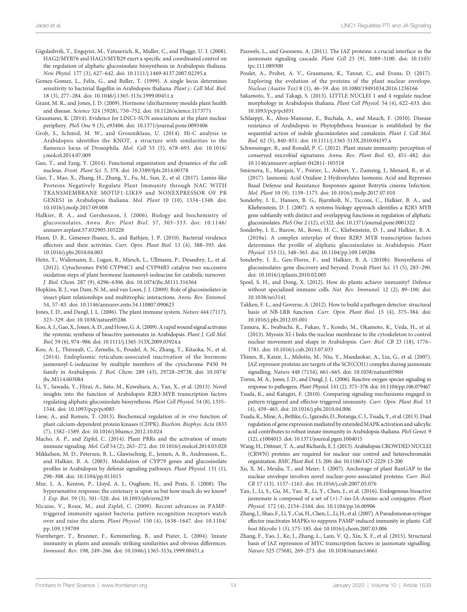- <span id="page-13-0"></span>Gigolashvili, T., Engqvist, M., Yatusevich, R., Muller, C., and Flugge, U. I. (2008). HAG2/MYB76 and HAG3/MYB29 exert a specific and coordinated control on the regulation of aliphatic glucosinolate biosynthesis in Arabidopsis thaliana. New Phytol. 177 (3), 627–642. doi: [10.1111/j.1469-8137.2007.02295.x](https://doi.org/10.1111/j.1469-8137.2007.02295.x)
- Gomez-Gomez, L., Felix, G., and Boller, T. (1999). A single locus determines sensitivity to bacterial flagellin in Arabidopsis thaliana. Plant j.: Cell Mol. Biol. 18 (3), 277–284. doi: [10.1046/j.1365-313x.1999.00451.x](https://doi.org/10.1046/j.1365-313x.1999.00451.x)
- Grant, M. R., and Jones, J. D. (2009). Hormone (dis)harmony moulds plant health and disease. Science 324 (5928), 750–752. doi: [10.1126/science.1173771](https://doi.org/10.1126/science.1173771)
- Graumann, K. (2014). Evidence for LINC1-SUN associations at the plant nuclear periphery. PloS One 9 (3), e93406. doi: [10.1371/journal.pone.0093406](https://doi.org/10.1371/journal.pone.0093406)
- Grob, S., Schmid, M. W., and Grossniklaus, U. (2014). Hi-C analysis in Arabidopsis identifies the KNOT, a structure with similarities to the flamenco locus of Drosophila. Mol. Cell 55 (5), 678–693. doi: [10.1016/](https://doi.org/10.1016/j.molcel.2014.07.009) [j.molcel.2014.07.009](https://doi.org/10.1016/j.molcel.2014.07.009)
- Guo, T., and Fang, Y. (2014). Functional organization and dynamics of the cell nucleus. Front. Plant Sci. 5, 378. doi: [10.3389/fpls.2014.00378](https://doi.org/10.3389/fpls.2014.00378)
- Guo, T., Mao, X., Zhang, H., Zhang, Y., Fu, M., Sun, Z., et al. (2017). Lamin-like Proteins Negatively Regulate Plant Immunity through NAC WITH TRANSMEMBRANE MOTIF1-LIKE9 and NONEXPRESSOR OF PR GENES1 in Arabidopsis thaliana. Mol. Plant 10 (10), 1334–1348. doi: [10.1016/j.molp.2017.09.008](https://doi.org/10.1016/j.molp.2017.09.008)
- Halkier, B. A., and Gershenzon, J. (2006). Biology and biochemistry of glucosinolates. Annu. Rev. Plant Biol. 57, 303–333. doi: [10.1146/](https://doi.org/10.1146/annurev.arplant.57.032905.105228) [annurev.arplant.57.032905.105228](https://doi.org/10.1146/annurev.arplant.57.032905.105228)
- Hann, D. R., Gimenez-Ibanez, S., and Rathjen, J. P. (2010). Bacterial virulence effectors and their activities. Curr. Opin. Plant Biol. 13 (4), 388–393. doi: [10.1016/j.pbi.2010.04.003](https://doi.org/10.1016/j.pbi.2010.04.003)
- Heitz, T., Widemann, E., Lugan, R., Miesch, L., Ullmann, P., Desaubry, L., et al. (2012). Cytochromes P450 CYP94C1 and CYP94B3 catalyze two successive oxidation steps of plant hormone Jasmonoyl-isoleucine for catabolic turnover. J. Biol. Chem. 287 (9), 6296–6306. doi: [10.1074/jbc.M111.316364](https://doi.org/10.1074/jbc.M111.316364)
- Hopkins, R. J., van Dam, N. M., and van Loon, J. J. (2009). Role of glucosinolates in insect-plant relationships and multitrophic interactions. Annu. Rev. Entomol. 54, 57–83. doi: [10.1146/annurev.ento.54.110807.090623](https://doi.org/10.1146/annurev.ento.54.110807.090623)
- Jones, J. D., and Dangl, J. L. (2006). The plant immune system. Nature 444 (7117), 323–329. doi: [10.1038/nature05286](https://doi.org/10.1038/nature05286)
- Koo,A. J., Gao, X., Jones,A. D., and Howe, G.A. (2009).A rapid wound signal activates the systemic synthesis of bioactive jasmonates in Arabidopsis. Plant J. Cell Mol. Biol. 59 (6), 974–986. doi: [10.1111/j.1365-313X.2009.03924.x](https://doi.org/10.1111/j.1365-313X.2009.03924.x)
- Koo, A. J., Thireault, C., Zemelis, S., Poudel, A. N., Zhang, T., Kitaoka, N., et al. (2014). Endoplasmic reticulum-associated inactivation of the hormone jasmonoyl-L-isoleucine by multiple members of the cytochrome P450 94 family in Arabidopsis. J. Biol. Chem. 289 (43), 29728–29738. doi: [10.1074/](https://doi.org/10.1074/jbc.M114.603084) [jbc.M114.603084](https://doi.org/10.1074/jbc.M114.603084)
- Li, Y., Sawada, Y., Hirai, A., Sato, M., Kuwahara, A., Yan, X., et al. (2013). Novel insights into the function of Arabidopsis R2R3-MYB transcription factors regulating aliphatic glucosinolate biosynthesis. Plant Cell Physiol. 54 (8), 1335– 1344. doi: [10.1093/pcp/pct085](https://doi.org/10.1093/pcp/pct085)
- Liese, A., and Romeis, T. (2013). Biochemical regulation of in vivo function of plant calcium-dependent protein kinases (CDPK). Biochim. Biophys. Acta 1833 (7), 1582–1589. doi: [10.1016/j.bbamcr.2012.10.024](https://doi.org/10.1016/j.bbamcr.2012.10.024)
- Macho, A. P., and Zipfel, C. (2014). Plant PRRs and the activation of innate immune signaling. Mol. Cell 54 (2), 263–272. doi: [10.1016/j.molcel.2014.03.028](https://doi.org/10.1016/j.molcel.2014.03.028)
- Mikkelsen, M. D., Petersen, B. L., Glawischnig, E., Jensen, A. B., Andreasson, E., and Halkier, B. A. (2003). Modulation of CYP79 genes and glucosinolate profiles in Arabidopsis by defense signaling pathways. Plant Physiol. 131 (1), 298–308. doi: [10.1104/pp.011015](https://doi.org/10.1104/pp.011015)
- Mur, L. A., Kenton, P., Lloyd, A. J., Ougham, H., and Prats, E. (2008). The hypersensitive response; the centenary is upon us but how much do we know? J. Exp. Bot. 59 (3), 501–520. doi: [10.1093/jxb/erm239](https://doi.org/10.1093/jxb/erm239)
- Nicaise, V., Roux, M., and Zipfel, C. (2009). Recent advances in PAMPtriggered immunity against bacteria: pattern recognition receptors watch over and raise the alarm. Plant Physiol. 150 (4), 1638–1647. doi: [10.1104/](https://doi.org/10.1104/pp.109.139709) [pp.109.139709](https://doi.org/10.1104/pp.109.139709)
- Nurnberger, T., Brunner, F., Kemmerling, B., and Piater, L. (2004). Innate immunity in plants and animals: striking similarities and obvious differences. Immunol. Rev. 198, 249–266. doi: [10.1046/j.1365-313x.1999.00451.x](https://doi.org/10.1046/j.1365-313x.1999.00451.x)
- Pauwels, L., and Goossens, A. (2011). The JAZ proteins: a crucial interface in the jasmonate signaling cascade. Plant Cell 23 (9), 3089–3100. doi: [10.1105/](https://doi.org/10.1105/tpc.111.089300) [tpc.111.089300](https://doi.org/10.1105/tpc.111.089300)
- Poulet, A., Probst, A. V., Graumann, K., Tatout, C., and Evans, D. (2017). Exploring the evolution of the proteins of the plant nuclear envelope. Nucleus (Austin Tex) 8 (1), 46–59. doi: [10.1080/19491034.2016.1236166](https://doi.org/10.1080/19491034.2016.1236166)
- Sakamoto, Y., and Takagi, S. (2013). LITTLE NUCLEI 1 and 4 regulate nuclear morphology in Arabidopsis thaliana. Plant Cell Physiol. 54 (4), 622–633. doi: [10.1093/pcp/pct031](https://doi.org/10.1093/pcp/pct031)
- Schlaeppi, K., Abou-Mansour, E., Buchala, A., and Mauch, F. (2010). Disease resistance of Arabidopsis to Phytophthora brassicae is established by the sequential action of indole glucosinolates and camalexin. Plant J. Cell Mol. Biol. 62 (5), 840–851. doi: [10.1111/j.1365-313X.2010.04197.x](https://doi.org/10.1111/j.1365-313X.2010.04197.x)
- Schwessinger, B., and Ronald, P. C. (2012). Plant innate immunity: perception of conserved microbial signatures. Annu. Rev. Plant Biol. 63, 451–482. doi: [10.1146/annurev-arplant-042811-105518](https://doi.org/10.1146/annurev-arplant-042811-105518)
- Smirnova, E., Marquis, V., Poirier, L., Aubert, Y., Zumsteg, J., Menard, R., et al. (2017). Jasmonic Acid Oxidase 2 Hydroxylates Jasmonic Acid and Represses Basal Defense and Resistance Responses against Botrytis cinerea Infection. Mol. Plant 10 (9), 1159–1173. doi: [10.1016/j.molp.2017.07.010](https://doi.org/10.1016/j.molp.2017.07.010)
- Sonderby, I. E., Hansen, B. G., Bjarnholt, N., Ticconi, C., Halkier, B. A., and Kliebenstein, D. J. (2007). A systems biology approach identifies a R2R3 MYB gene subfamily with distinct and overlapping functions in regulation of aliphatic glucosinolates. PloS One 2 (12), e1322. doi: [10.1371/journal.pone.0001322](https://doi.org/10.1371/journal.pone.0001322)
- Sonderby, I. E., Burow, M., Rowe, H. C., Kliebenstein, D. J., and Halkier, B. A. (2010a). A complex interplay of three R2R3 MYB transcription factors determines the profile of aliphatic glucosinolates in Arabidopsis. Plant Physiol. 153 (1), 348–363. doi: [10.1104/pp.109.149286](https://doi.org/10.1104/pp.109.149286)
- Sonderby, I. E., Geu-Flores, F., and Halkier, B. A. (2010b). Biosynthesis of glucosinolates–gene discovery and beyond. Trends Plant Sci. 15 (5), 283–290. doi: [10.1016/j.tplants.2010.02.005](https://doi.org/10.1016/j.tplants.2010.02.005)
- Spoel, S. H., and Dong, X. (2012). How do plants achieve immunity? Defence without specialized immune cells. Nat. Rev. Immunol. 12 (2), 89–100. doi: [10.1038/nri3141](https://doi.org/10.1038/nri3141)
- Takken, F. L., and Goverse, A. (2012). How to build a pathogen detector: structural basis of NB-LRR function. Curr. Opin. Plant Biol. 15 (4), 375–384. doi: [10.1016/j.pbi.2012.05.001](https://doi.org/10.1016/j.pbi.2012.05.001)
- Tamura, K., Iwabuchi, K., Fukao, Y., Kondo, M., Okamoto, K., Ueda, H., et al. (2013). Myosin XI-i links the nuclear membrane to the cytoskeleton to control nuclear movement and shape in Arabidopsis. Curr. Biol. CB 23 (18), 1776– 1781. doi: [10.1016/j.cub.2013.07.035](https://doi.org/10.1016/j.cub.2013.07.035)
- Thines, B., Katsir, L., Melotto, M., Niu, Y., Mandaokar, A., Liu, G., et al. (2007). JAZ repressor proteins are targets of the SCF(COI1) complex during jasmonate signalling. Nature 448 (7154), 661–665. doi: [10.1038/nature05960](https://doi.org/10.1038/nature05960)
- Torres, M. A., Jones, J. D., and Dangl, J. L. (2006). Reactive oxygen species signaling in response to pathogens. Plant Physiol. 141 (2), 373–378. doi: [10.1104/pp.106.079467](https://doi.org/10.1104/pp.106.079467)
- Tsuda, K., and Katagiri, F. (2010). Comparing signaling mechanisms engaged in pattern-triggered and effector-triggered immunity. Curr. Opin. Plant Biol. 13 (4), 459–465. doi: [10.1016/j.pbi.2010.04.006](https://doi.org/10.1016/j.pbi.2010.04.006)
- Tsuda, K.,Mine,A., Bethke, G., Igarashi, D., Botanga,C. J., Tsuda, Y., et al. (2013). Dual regulation of gene expression mediated by extended MAPK activation and salicylic acid contributes to robust innate immunity in Arabidopsis thaliana. PloS Genet. 9 (12), e1004015. doi: [10.1371/journal.pgen.1004015](https://doi.org/10.1371/journal.pgen.1004015)
- Wang, H., Dittmer, T. A., and Richards, E. J. (2013). Arabidopsis CROWDED NUCLEI (CRWN) proteins are required for nuclear size control and heterochromatin organization. BMC Plant Biol. 13, 200. doi: [10.1186/1471-2229-13-200](https://doi.org/10.1186/1471-2229-13-200)
- Xu, X. M., Meulia, T., and Meier, I. (2007). Anchorage of plant RanGAP to the nuclear envelope involves novel nuclear-pore-associated proteins. Curr. Biol. CB 17 (13), 1157–1163. doi: [10.1016/j.cub.2007.05.076](https://doi.org/10.1016/j.cub.2007.05.076)
- Yan, J., Li, S., Gu, M., Yao, R., Li, Y., Chen, J., et al. (2016). Endogenous bioactive jasmonate is composed of a set of (+)-7-iso-JA-Amino acid conjugates. Plant Physiol. 172 (4), 2154–2164. doi: [10.1104/pp.16.00906](https://doi.org/10.1104/pp.16.00906)
- Zhang, J., Shao, F., Li, Y., Cui, H., Chen, L., Li, H., et al. (2007). A Pseudomonas syringae effector inactivates MAPKs to suppress PAMP-induced immunity in plants. Cell host Microbe 1 (3), 175–185. doi: [10.1016/j.chom.2007.03.006](https://doi.org/10.1016/j.chom.2007.03.006)
- Zhang, F., Yao, J., Ke, J., Zhang, L., Lam, V. Q., Xin, X. F., et al. (2015). Structural basis of JAZ repression of MYC transcription factors in jasmonate signalling. Nature 525 (7568), 269–273. doi: [10.1038/nature14661](https://doi.org/10.1038/nature14661)